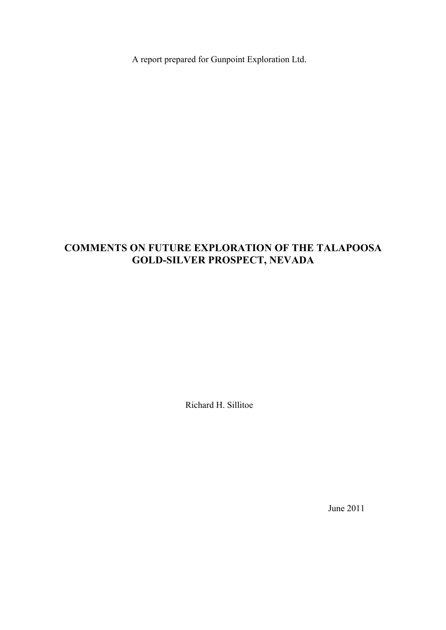A report prepared for Gunpoint Exploration Ltd.

# **COMMENTS ON FUTURE EXPLORATION OF THE TALAPOOSA GOLD-SILVER PROSPECT, NEVADA**

Richard H. Sillitoe

June 2011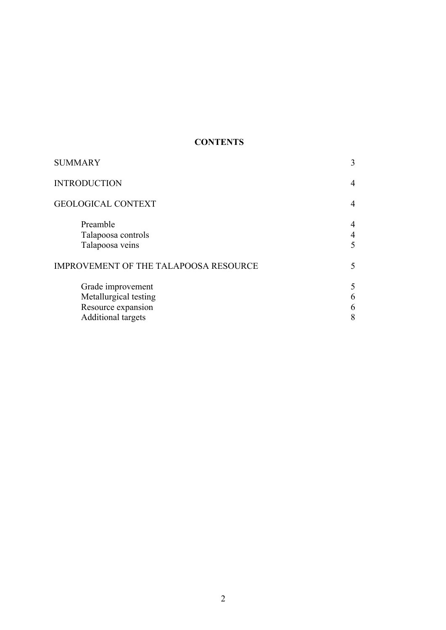# **CONTENTS**

| 3                                     |
|---------------------------------------|
| 4                                     |
| $\overline{4}$                        |
| $\overline{4}$<br>$\overline{4}$<br>5 |
| 5                                     |
| 5<br>6<br>6<br>8                      |
|                                       |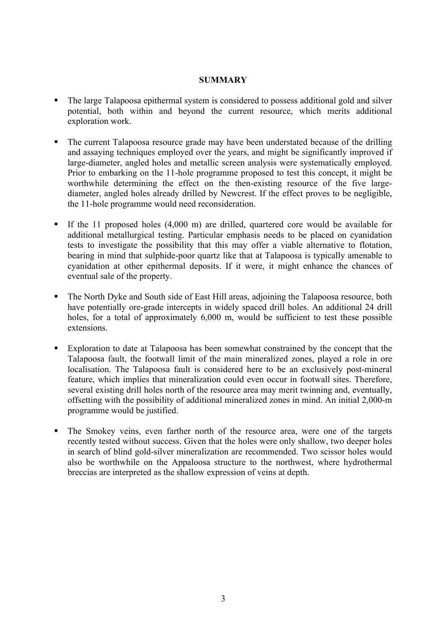#### **SUMMARY**

- The large Talapoosa epithermal system is considered to possess additional gold and silver potential, both within and beyond the current resource, which merits additional exploration work.
- The current Talapoosa resource grade may have been understated because of the drilling and assaying techniques employed over the years, and might be significantly improved if large-diameter, angled holes and metallic screen analysis were systematically employed. Prior to embarking on the 11-hole programme proposed to test this concept, it might be worthwhile determining the effect on the then-existing resource of the five largediameter, angled holes already drilled by Newcrest. If the effect proves to be negligible, the 11-hole programme would need reconsideration.
- If the 11 proposed holes (4,000 m) are drilled, quartered core would be available for additional metallurgical testing. Particular emphasis needs to be placed on cyanidation tests to investigate the possibility that this may offer a viable alternative to flotation, bearing in mind that sulphide-poor quartz like that at Talapoosa is typically amenable to cyanidation at other epithermal deposits. If it were, it might enhance the chances of eventual sale of the property.
- The North Dyke and South side of East Hill areas, adjoining the Talapoosa resource, both have potentially ore-grade intercepts in widely spaced drill holes. An additional 24 drill holes, for a total of approximately 6,000 m, would be sufficient to test these possible extensions.
- Exploration to date at Talapoosa has been somewhat constrained by the concept that the Talapoosa fault, the footwall limit of the main mineralized zones, played a role in ore localisation. The Talapoosa fault is considered here to be an exclusively post-mineral feature, which implies that mineralization could even occur in footwall sites. Therefore, several existing drill holes north of the resource area may merit twinning and, eventually, offsetting with the possibility of additional mineralized zones in mind. An initial 2,000-m programme would be justified.
- The Smokey veins, even farther north of the resource area, were one of the targets recently tested without success. Given that the holes were only shallow, two deeper holes in search of blind gold-silver mineralization are recommended. Two scissor holes would also be worthwhile on the Appaloosa structure to the northwest, where hydrothermal breccias are interpreted as the shallow expression of veins at depth.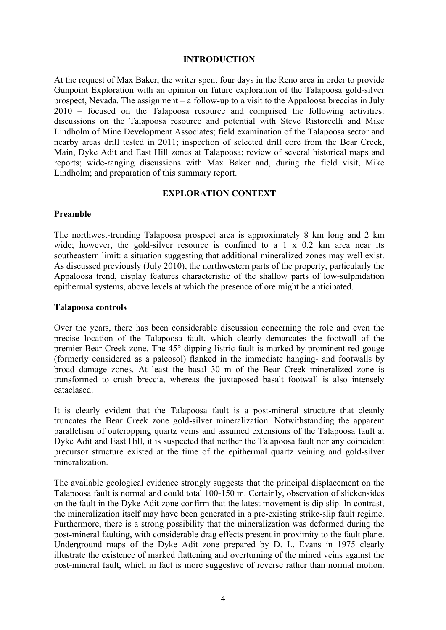#### **INTRODUCTION**

At the request of Max Baker, the writer spent four days in the Reno area in order to provide Gunpoint Exploration with an opinion on future exploration of the Talapoosa gold-silver prospect, Nevada. The assignment – a follow-up to a visit to the Appaloosa breccias in July 2010 – focused on the Talapoosa resource and comprised the following activities: discussions on the Talapoosa resource and potential with Steve Ristorcelli and Mike Lindholm of Mine Development Associates; field examination of the Talapoosa sector and nearby areas drill tested in 2011; inspection of selected drill core from the Bear Creek, Main, Dyke Adit and East Hill zones at Talapoosa; review of several historical maps and reports; wide-ranging discussions with Max Baker and, during the field visit, Mike Lindholm; and preparation of this summary report.

### **EXPLORATION CONTEXT**

#### **Preamble**

The northwest-trending Talapoosa prospect area is approximately 8 km long and 2 km wide; however, the gold-silver resource is confined to a  $1 \times 0.2$  km area near its southeastern limit: a situation suggesting that additional mineralized zones may well exist. As discussed previously (July 2010), the northwestern parts of the property, particularly the Appaloosa trend, display features characteristic of the shallow parts of low-sulphidation epithermal systems, above levels at which the presence of ore might be anticipated.

#### **Talapoosa controls**

Over the years, there has been considerable discussion concerning the role and even the precise location of the Talapoosa fault, which clearly demarcates the footwall of the premier Bear Creek zone. The 45°-dipping listric fault is marked by prominent red gouge (formerly considered as a paleosol) flanked in the immediate hanging- and footwalls by broad damage zones. At least the basal 30 m of the Bear Creek mineralized zone is transformed to crush breccia, whereas the juxtaposed basalt footwall is also intensely cataclased.

It is clearly evident that the Talapoosa fault is a post-mineral structure that cleanly truncates the Bear Creek zone gold-silver mineralization. Notwithstanding the apparent parallelism of outcropping quartz veins and assumed extensions of the Talapoosa fault at Dyke Adit and East Hill, it is suspected that neither the Talapoosa fault nor any coincident precursor structure existed at the time of the epithermal quartz veining and gold-silver mineralization.

The available geological evidence strongly suggests that the principal displacement on the Talapoosa fault is normal and could total 100-150 m. Certainly, observation of slickensides on the fault in the Dyke Adit zone confirm that the latest movement is dip slip. In contrast, the mineralization itself may have been generated in a pre-existing strike-slip fault regime. Furthermore, there is a strong possibility that the mineralization was deformed during the post-mineral faulting, with considerable drag effects present in proximity to the fault plane. Underground maps of the Dyke Adit zone prepared by D. L. Evans in 1975 clearly illustrate the existence of marked flattening and overturning of the mined veins against the post-mineral fault, which in fact is more suggestive of reverse rather than normal motion.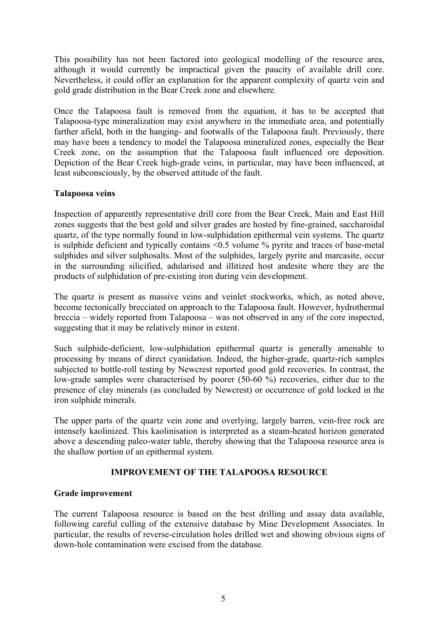This possibility has not been factored into geological modelling of the resource area, although it would currently be impractical given the paucity of available drill core. Nevertheless, it could offer an explanation for the apparent complexity of quartz vein and gold grade distribution in the Bear Creek zone and elsewhere.

Once the Talapoosa fault is removed from the equation, it has to be accepted that Talapoosa-type mineralization may exist anywhere in the immediate area, and potentially farther afield, both in the hanging- and footwalls of the Talapoosa fault. Previously, there may have been a tendency to model the Talapoosa mineralized zones, especially the Bear Creek zone, on the assumption that the Talapoosa fault influenced ore deposition. Depiction of the Bear Creek high-grade veins, in particular, may have been influenced, at least subconsciously, by the observed attitude of the fault.

#### **Talapoosa veins**

Inspection of apparently representative drill core from the Bear Creek, Main and East Hill zones suggests that the best gold and silver grades are hosted by fine-grained, saccharoidal quartz, of the type normally found in low-sulphidation epithermal vein systems. The quartz is sulphide deficient and typically contains  $\leq 0.5$  volume  $\%$  pyrite and traces of base-metal sulphides and silver sulphosalts. Most of the sulphides, largely pyrite and marcasite, occur in the surrounding silicified, adularised and illitized host andesite where they are the products of sulphidation of pre-existing iron during vein development.

The quartz is present as massive veins and veinlet stockworks, which, as noted above, become tectonically brecciated on approach to the Talapoosa fault. However, hydrothermal breccia – widely reported from Talapoosa – was not observed in any of the core inspected, suggesting that it may be relatively minor in extent.

Such sulphide-deficient, low-sulphidation epithermal quartz is generally amenable to processing by means of direct cyanidation. Indeed, the higher-grade, quartz-rich samples subjected to bottle-roll testing by Newcrest reported good gold recoveries. In contrast, the low-grade samples were characterised by poorer (50-60 %) recoveries, either due to the presence of clay minerals (as concluded by Newcrest) or occurrence of gold locked in the iron sulphide minerals.

The upper parts of the quartz vein zone and overlying, largely barren, vein-free rock are intensely kaolinized. This kaolinisation is interpreted as a steam-heated horizon generated above a descending paleo-water table, thereby showing that the Talapoosa resource area is the shallow portion of an epithermal system.

# **IMPROVEMENT OF THE TALAPOOSA RESOURCE**

#### **Grade improvement**

The current Talapoosa resource is based on the best drilling and assay data available, following careful culling of the extensive database by Mine Development Associates. In particular, the results of reverse-circulation holes drilled wet and showing obvious signs of down-hole contamination were excised from the database.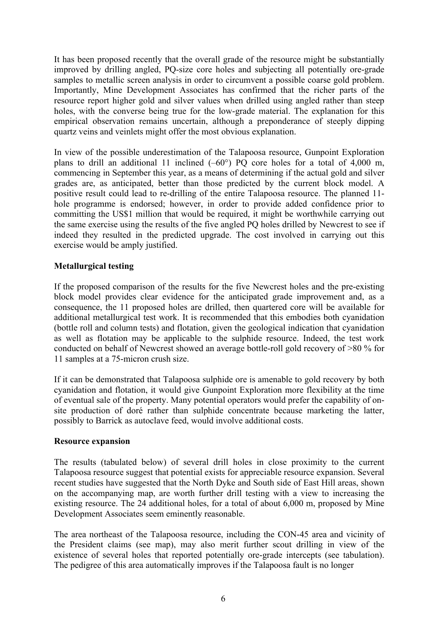It has been proposed recently that the overall grade of the resource might be substantially improved by drilling angled, PQ-size core holes and subjecting all potentially ore-grade samples to metallic screen analysis in order to circumvent a possible coarse gold problem. Importantly, Mine Development Associates has confirmed that the richer parts of the resource report higher gold and silver values when drilled using angled rather than steep holes, with the converse being true for the low-grade material. The explanation for this empirical observation remains uncertain, although a preponderance of steeply dipping quartz veins and veinlets might offer the most obvious explanation.

In view of the possible underestimation of the Talapoosa resource, Gunpoint Exploration plans to drill an additional 11 inclined  $(-60^{\circ})$  PQ core holes for a total of 4,000 m, commencing in September this year, as a means of determining if the actual gold and silver grades are, as anticipated, better than those predicted by the current block model. A positive result could lead to re-drilling of the entire Talapoosa resource. The planned 11 hole programme is endorsed; however, in order to provide added confidence prior to committing the US\$1 million that would be required, it might be worthwhile carrying out the same exercise using the results of the five angled PQ holes drilled by Newcrest to see if indeed they resulted in the predicted upgrade. The cost involved in carrying out this exercise would be amply justified.

# **Metallurgical testing**

If the proposed comparison of the results for the five Newcrest holes and the pre-existing block model provides clear evidence for the anticipated grade improvement and, as a consequence, the 11 proposed holes are drilled, then quartered core will be available for additional metallurgical test work. It is recommended that this embodies both cyanidation (bottle roll and column tests) and flotation, given the geological indication that cyanidation as well as flotation may be applicable to the sulphide resource. Indeed, the test work conducted on behalf of Newcrest showed an average bottle-roll gold recovery of >80 % for 11 samples at a 75-micron crush size.

If it can be demonstrated that Talapoosa sulphide ore is amenable to gold recovery by both cyanidation and flotation, it would give Gunpoint Exploration more flexibility at the time of eventual sale of the property. Many potential operators would prefer the capability of onsite production of doré rather than sulphide concentrate because marketing the latter, possibly to Barrick as autoclave feed, would involve additional costs.

#### **Resource expansion**

The results (tabulated below) of several drill holes in close proximity to the current Talapoosa resource suggest that potential exists for appreciable resource expansion. Several recent studies have suggested that the North Dyke and South side of East Hill areas, shown on the accompanying map, are worth further drill testing with a view to increasing the existing resource. The 24 additional holes, for a total of about 6,000 m, proposed by Mine Development Associates seem eminently reasonable.

The area northeast of the Talapoosa resource, including the CON-45 area and vicinity of the President claims (see map), may also merit further scout drilling in view of the existence of several holes that reported potentially ore-grade intercepts (see tabulation). The pedigree of this area automatically improves if the Talapoosa fault is no longer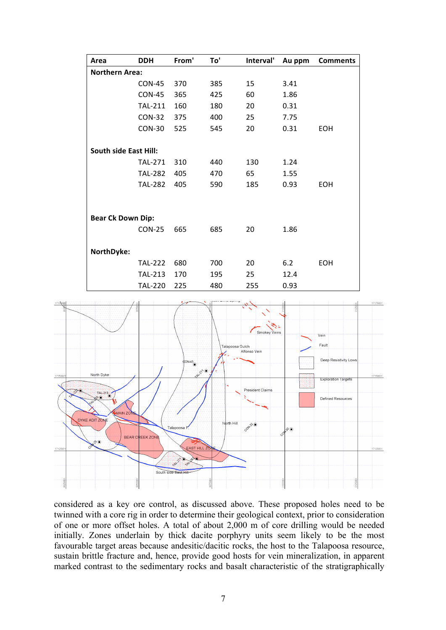| Area                         | <b>DDH</b>     | From' | To' | Interval' | Au ppm | <b>Comments</b> |  |
|------------------------------|----------------|-------|-----|-----------|--------|-----------------|--|
| <b>Northern Area:</b>        |                |       |     |           |        |                 |  |
|                              | <b>CON-45</b>  | 370   | 385 | 15        | 3.41   |                 |  |
|                              | <b>CON-45</b>  | 365   | 425 | 60        | 1.86   |                 |  |
|                              | <b>TAL-211</b> | 160   | 180 | 20        | 0.31   |                 |  |
|                              | <b>CON-32</b>  | 375   | 400 | 25        | 7.75   |                 |  |
|                              | <b>CON-30</b>  | 525   | 545 | 20        | 0.31   | EOH             |  |
| <b>South side East Hill:</b> |                |       |     |           |        |                 |  |
|                              | <b>TAL-271</b> | 310   | 440 | 130       | 1.24   |                 |  |
|                              | <b>TAL-282</b> | 405   | 470 | 65        | 1.55   |                 |  |
|                              | <b>TAL-282</b> | 405   | 590 | 185       | 0.93   | <b>EOH</b>      |  |
|                              |                |       |     |           |        |                 |  |
| <b>Bear Ck Down Dip:</b>     |                |       |     |           |        |                 |  |
|                              | <b>CON-25</b>  | 665   | 685 | 20        | 1.86   |                 |  |
| NorthDyke:                   |                |       |     |           |        |                 |  |
|                              | <b>TAL-222</b> | 680   | 700 | 20        | 6.2    | <b>EOH</b>      |  |
|                              | <b>TAL-213</b> | 170   | 195 | 25        | 12.4   |                 |  |
|                              | <b>TAL-220</b> | 225   | 480 | 255       | 0.93   |                 |  |



considered as a key ore control, as discussed above. These proposed holes need to be twinned with a core rig in order to determine their geological context, prior to consideration of one or more offset holes. A total of about 2,000 m of core drilling would be needed initially. Zones underlain by thick dacite porphyry units seem likely to be the most favourable target areas because andesitic/dacitic rocks, the host to the Talapoosa resource, sustain brittle fracture and, hence, provide good hosts for vein mineralization, in apparent marked contrast to the sedimentary rocks and basalt characteristic of the stratigraphically